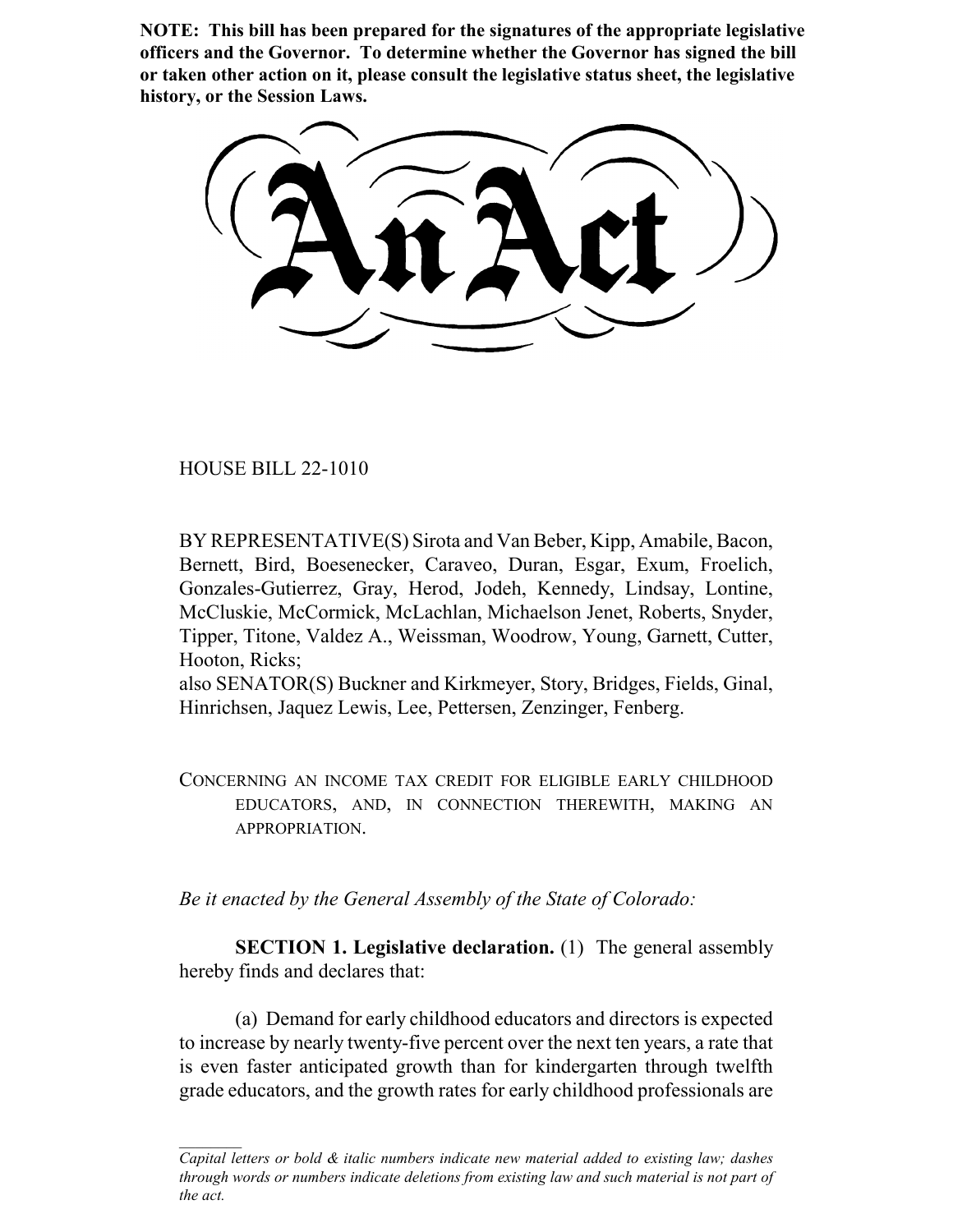**NOTE: This bill has been prepared for the signatures of the appropriate legislative officers and the Governor. To determine whether the Governor has signed the bill or taken other action on it, please consult the legislative status sheet, the legislative history, or the Session Laws.**

HOUSE BILL 22-1010

BY REPRESENTATIVE(S) Sirota and Van Beber, Kipp, Amabile, Bacon, Bernett, Bird, Boesenecker, Caraveo, Duran, Esgar, Exum, Froelich, Gonzales-Gutierrez, Gray, Herod, Jodeh, Kennedy, Lindsay, Lontine, McCluskie, McCormick, McLachlan, Michaelson Jenet, Roberts, Snyder, Tipper, Titone, Valdez A., Weissman, Woodrow, Young, Garnett, Cutter, Hooton, Ricks;

also SENATOR(S) Buckner and Kirkmeyer, Story, Bridges, Fields, Ginal, Hinrichsen, Jaquez Lewis, Lee, Pettersen, Zenzinger, Fenberg.

CONCERNING AN INCOME TAX CREDIT FOR ELIGIBLE EARLY CHILDHOOD EDUCATORS, AND, IN CONNECTION THEREWITH, MAKING AN APPROPRIATION.

*Be it enacted by the General Assembly of the State of Colorado:*

**SECTION 1. Legislative declaration.** (1) The general assembly hereby finds and declares that:

(a) Demand for early childhood educators and directors is expected to increase by nearly twenty-five percent over the next ten years, a rate that is even faster anticipated growth than for kindergarten through twelfth grade educators, and the growth rates for early childhood professionals are

*Capital letters or bold & italic numbers indicate new material added to existing law; dashes through words or numbers indicate deletions from existing law and such material is not part of the act.*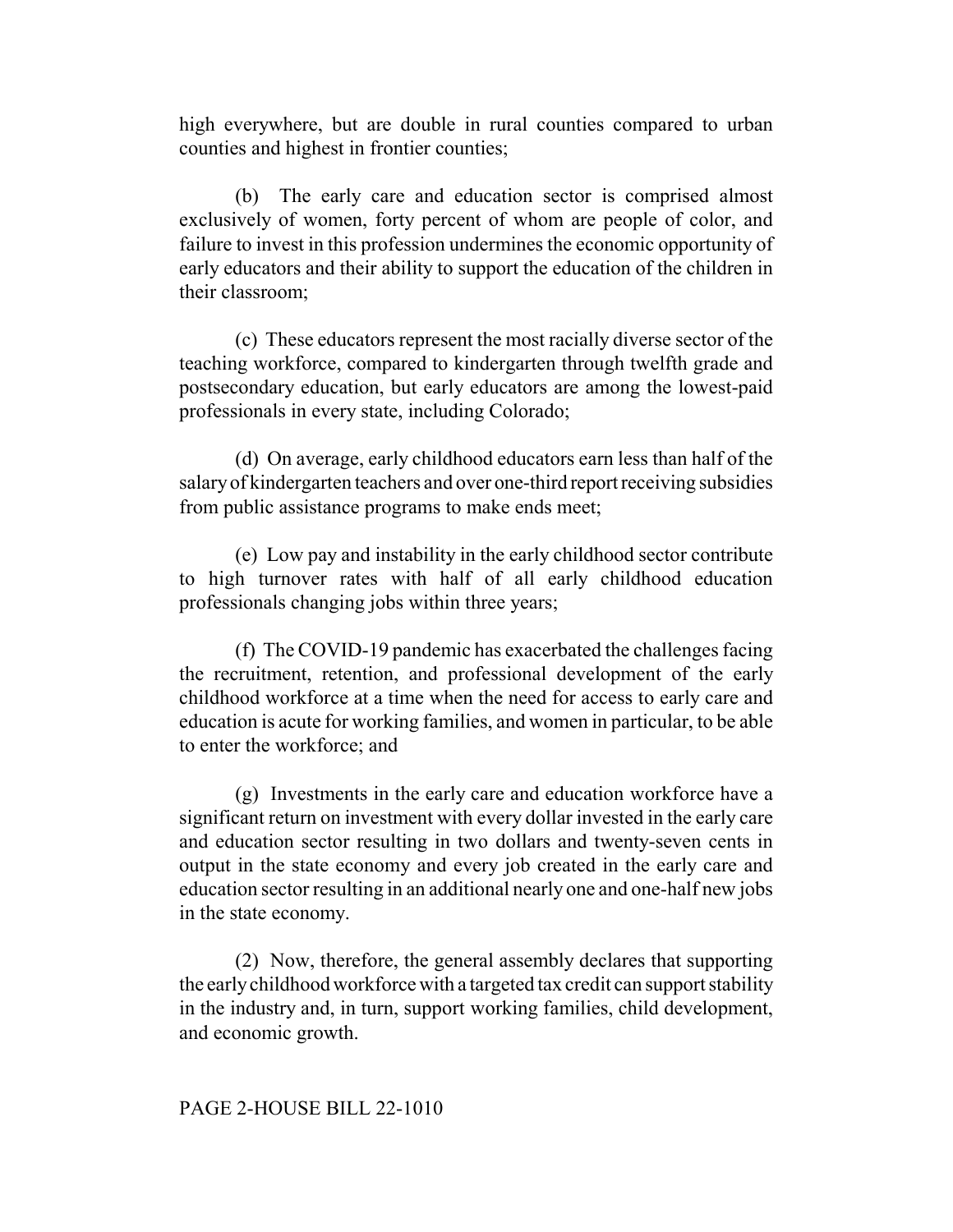high everywhere, but are double in rural counties compared to urban counties and highest in frontier counties;

(b) The early care and education sector is comprised almost exclusively of women, forty percent of whom are people of color, and failure to invest in this profession undermines the economic opportunity of early educators and their ability to support the education of the children in their classroom;

(c) These educators represent the most racially diverse sector of the teaching workforce, compared to kindergarten through twelfth grade and postsecondary education, but early educators are among the lowest-paid professionals in every state, including Colorado;

(d) On average, early childhood educators earn less than half of the salary of kindergarten teachers and over one-third report receiving subsidies from public assistance programs to make ends meet;

(e) Low pay and instability in the early childhood sector contribute to high turnover rates with half of all early childhood education professionals changing jobs within three years;

(f) The COVID-19 pandemic has exacerbated the challenges facing the recruitment, retention, and professional development of the early childhood workforce at a time when the need for access to early care and education is acute for working families, and women in particular, to be able to enter the workforce; and

(g) Investments in the early care and education workforce have a significant return on investment with every dollar invested in the early care and education sector resulting in two dollars and twenty-seven cents in output in the state economy and every job created in the early care and education sector resulting in an additional nearly one and one-half new jobs in the state economy.

(2) Now, therefore, the general assembly declares that supporting the early childhood workforce with a targeted tax credit can support stability in the industry and, in turn, support working families, child development, and economic growth.

## PAGE 2-HOUSE BILL 22-1010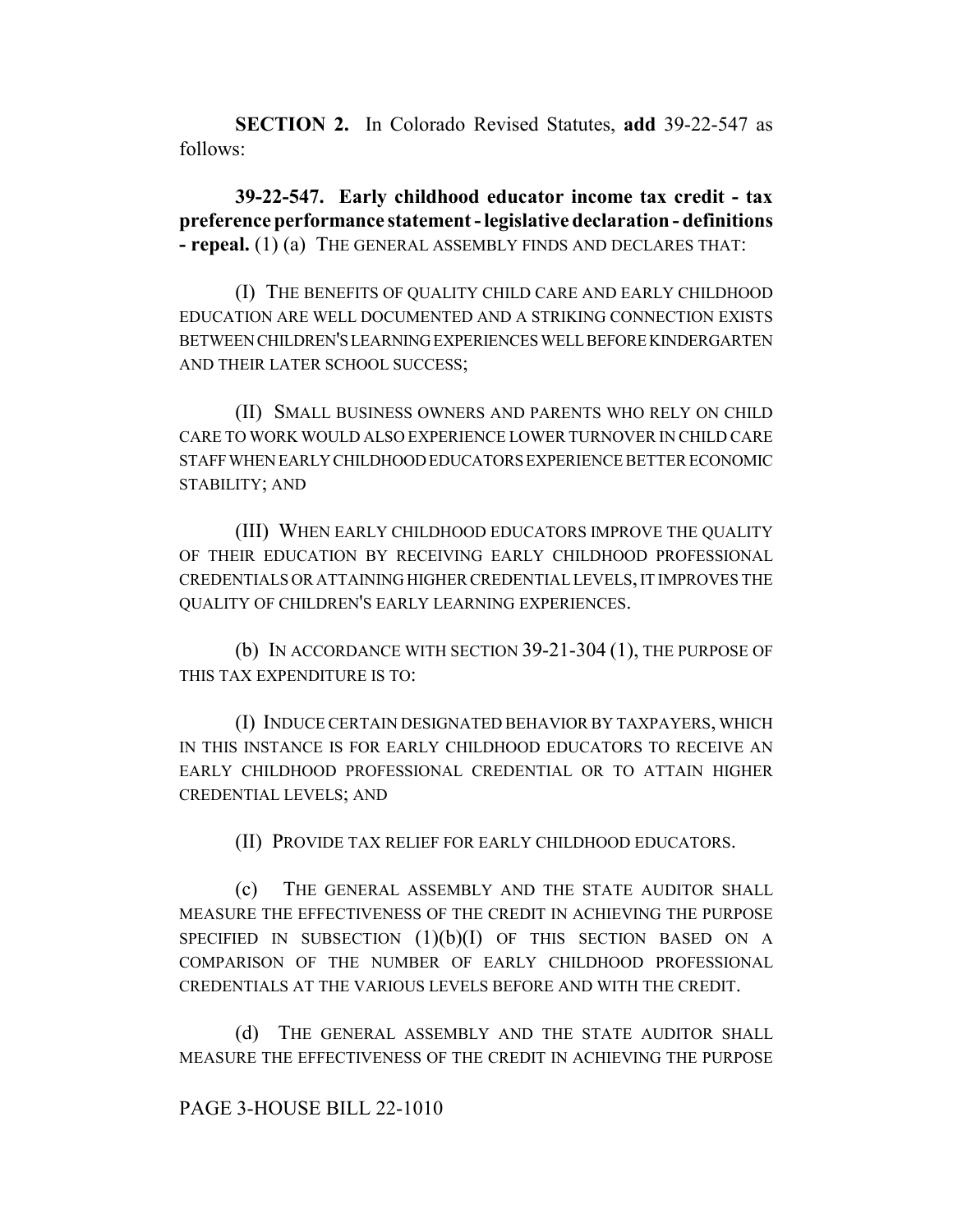**SECTION 2.** In Colorado Revised Statutes, **add** 39-22-547 as follows:

**39-22-547. Early childhood educator income tax credit - tax preference performance statement - legislative declaration - definitions - repeal.** (1) (a) THE GENERAL ASSEMBLY FINDS AND DECLARES THAT:

(I) THE BENEFITS OF QUALITY CHILD CARE AND EARLY CHILDHOOD EDUCATION ARE WELL DOCUMENTED AND A STRIKING CONNECTION EXISTS BETWEEN CHILDREN'S LEARNING EXPERIENCES WELL BEFORE KINDERGARTEN AND THEIR LATER SCHOOL SUCCESS;

(II) SMALL BUSINESS OWNERS AND PARENTS WHO RELY ON CHILD CARE TO WORK WOULD ALSO EXPERIENCE LOWER TURNOVER IN CHILD CARE STAFF WHEN EARLY CHILDHOOD EDUCATORS EXPERIENCE BETTER ECONOMIC STABILITY; AND

(III) WHEN EARLY CHILDHOOD EDUCATORS IMPROVE THE QUALITY OF THEIR EDUCATION BY RECEIVING EARLY CHILDHOOD PROFESSIONAL CREDENTIALS OR ATTAINING HIGHER CREDENTIAL LEVELS, IT IMPROVES THE QUALITY OF CHILDREN'S EARLY LEARNING EXPERIENCES.

(b) IN ACCORDANCE WITH SECTION 39-21-304 (1), THE PURPOSE OF THIS TAX EXPENDITURE IS TO:

(I) INDUCE CERTAIN DESIGNATED BEHAVIOR BY TAXPAYERS, WHICH IN THIS INSTANCE IS FOR EARLY CHILDHOOD EDUCATORS TO RECEIVE AN EARLY CHILDHOOD PROFESSIONAL CREDENTIAL OR TO ATTAIN HIGHER CREDENTIAL LEVELS; AND

(II) PROVIDE TAX RELIEF FOR EARLY CHILDHOOD EDUCATORS.

(c) THE GENERAL ASSEMBLY AND THE STATE AUDITOR SHALL MEASURE THE EFFECTIVENESS OF THE CREDIT IN ACHIEVING THE PURPOSE SPECIFIED IN SUBSECTION  $(1)(b)(I)$  of this section based on A COMPARISON OF THE NUMBER OF EARLY CHILDHOOD PROFESSIONAL CREDENTIALS AT THE VARIOUS LEVELS BEFORE AND WITH THE CREDIT.

(d) THE GENERAL ASSEMBLY AND THE STATE AUDITOR SHALL MEASURE THE EFFECTIVENESS OF THE CREDIT IN ACHIEVING THE PURPOSE

## PAGE 3-HOUSE BILL 22-1010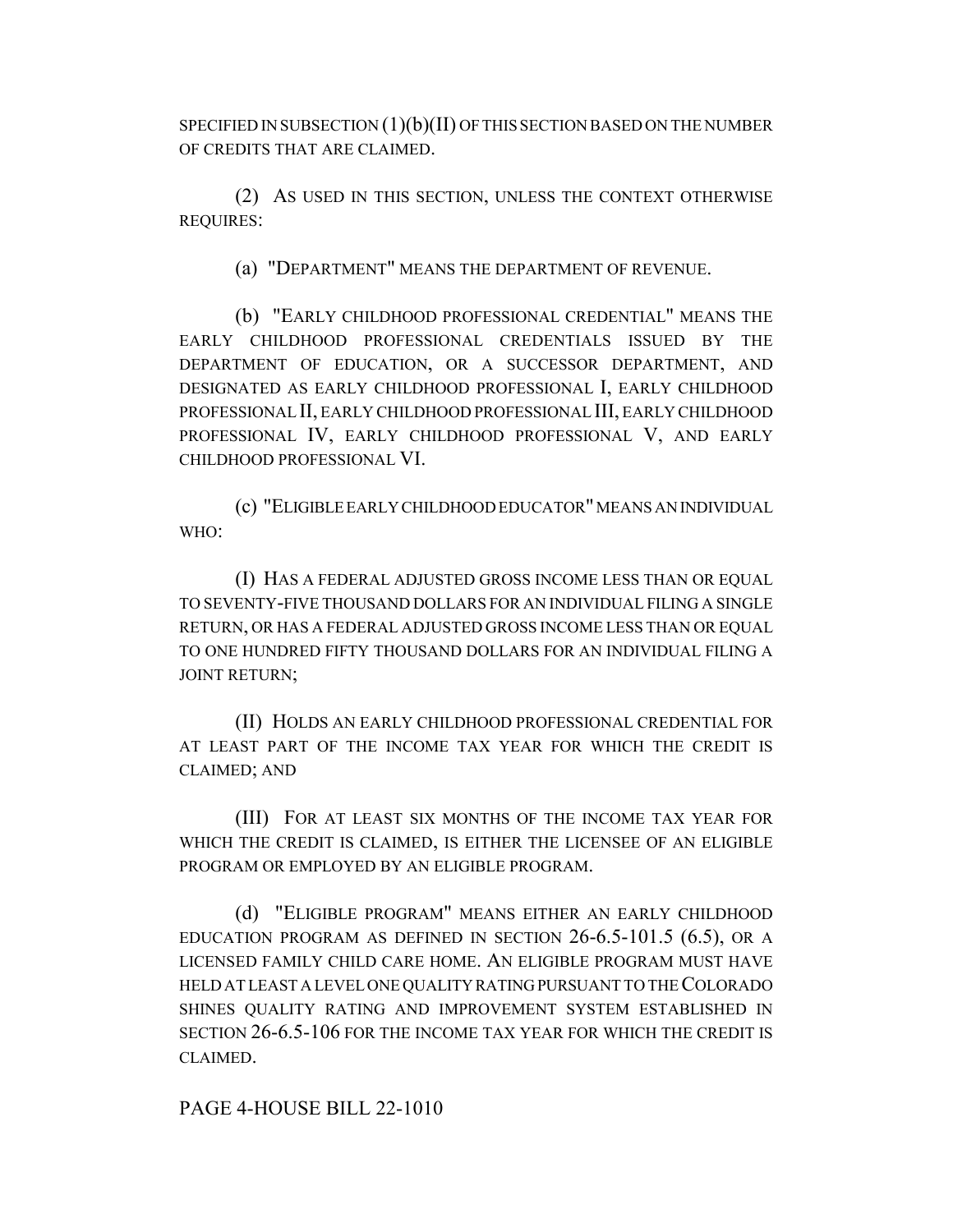SPECIFIED IN SUBSECTION (1)(b)(II) OF THIS SECTION BASED ON THE NUMBER OF CREDITS THAT ARE CLAIMED.

(2) AS USED IN THIS SECTION, UNLESS THE CONTEXT OTHERWISE REQUIRES:

(a) "DEPARTMENT" MEANS THE DEPARTMENT OF REVENUE.

(b) "EARLY CHILDHOOD PROFESSIONAL CREDENTIAL" MEANS THE EARLY CHILDHOOD PROFESSIONAL CREDENTIALS ISSUED BY THE DEPARTMENT OF EDUCATION, OR A SUCCESSOR DEPARTMENT, AND DESIGNATED AS EARLY CHILDHOOD PROFESSIONAL I, EARLY CHILDHOOD PROFESSIONAL II, EARLY CHILDHOOD PROFESSIONAL III, EARLY CHILDHOOD PROFESSIONAL IV, EARLY CHILDHOOD PROFESSIONAL V, AND EARLY CHILDHOOD PROFESSIONAL VI.

(c) "ELIGIBLE EARLY CHILDHOOD EDUCATOR" MEANS AN INDIVIDUAL WHO:

(I) HAS A FEDERAL ADJUSTED GROSS INCOME LESS THAN OR EQUAL TO SEVENTY-FIVE THOUSAND DOLLARS FOR AN INDIVIDUAL FILING A SINGLE RETURN, OR HAS A FEDERAL ADJUSTED GROSS INCOME LESS THAN OR EQUAL TO ONE HUNDRED FIFTY THOUSAND DOLLARS FOR AN INDIVIDUAL FILING A JOINT RETURN;

(II) HOLDS AN EARLY CHILDHOOD PROFESSIONAL CREDENTIAL FOR AT LEAST PART OF THE INCOME TAX YEAR FOR WHICH THE CREDIT IS CLAIMED; AND

(III) FOR AT LEAST SIX MONTHS OF THE INCOME TAX YEAR FOR WHICH THE CREDIT IS CLAIMED, IS EITHER THE LICENSEE OF AN ELIGIBLE PROGRAM OR EMPLOYED BY AN ELIGIBLE PROGRAM.

(d) "ELIGIBLE PROGRAM" MEANS EITHER AN EARLY CHILDHOOD EDUCATION PROGRAM AS DEFINED IN SECTION 26-6.5-101.5 (6.5), OR A LICENSED FAMILY CHILD CARE HOME. AN ELIGIBLE PROGRAM MUST HAVE HELD AT LEAST A LEVEL ONE QUALITY RATING PURSUANT TO THE COLORADO SHINES QUALITY RATING AND IMPROVEMENT SYSTEM ESTABLISHED IN SECTION 26-6.5-106 FOR THE INCOME TAX YEAR FOR WHICH THE CREDIT IS CLAIMED.

PAGE 4-HOUSE BILL 22-1010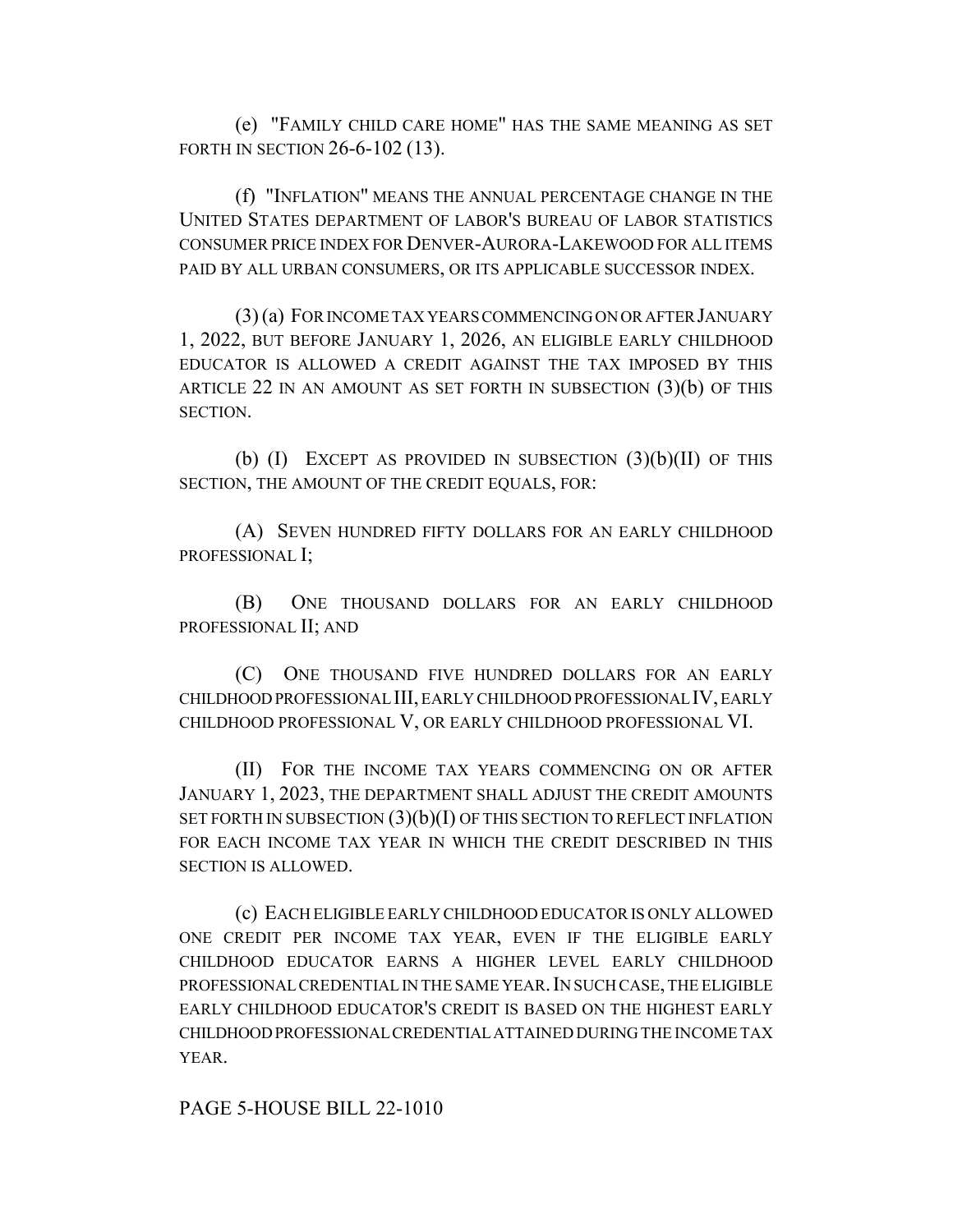(e) "FAMILY CHILD CARE HOME" HAS THE SAME MEANING AS SET FORTH IN SECTION 26-6-102 (13).

(f) "INFLATION" MEANS THE ANNUAL PERCENTAGE CHANGE IN THE UNITED STATES DEPARTMENT OF LABOR'S BUREAU OF LABOR STATISTICS CONSUMER PRICE INDEX FOR DENVER-AURORA-LAKEWOOD FOR ALL ITEMS PAID BY ALL URBAN CONSUMERS, OR ITS APPLICABLE SUCCESSOR INDEX.

(3) (a) FOR INCOME TAX YEARS COMMENCING ON OR AFTER JANUARY 1, 2022, BUT BEFORE JANUARY 1, 2026, AN ELIGIBLE EARLY CHILDHOOD EDUCATOR IS ALLOWED A CREDIT AGAINST THE TAX IMPOSED BY THIS ARTICLE 22 IN AN AMOUNT AS SET FORTH IN SUBSECTION  $(3)(b)$  OF THIS SECTION.

(b) (I) EXCEPT AS PROVIDED IN SUBSECTION  $(3)(b)(II)$  OF THIS SECTION, THE AMOUNT OF THE CREDIT EQUALS, FOR:

(A) SEVEN HUNDRED FIFTY DOLLARS FOR AN EARLY CHILDHOOD PROFESSIONAL I;

(B) ONE THOUSAND DOLLARS FOR AN EARLY CHILDHOOD PROFESSIONAL II; AND

(C) ONE THOUSAND FIVE HUNDRED DOLLARS FOR AN EARLY CHILDHOOD PROFESSIONAL III, EARLY CHILDHOOD PROFESSIONAL IV, EARLY CHILDHOOD PROFESSIONAL V, OR EARLY CHILDHOOD PROFESSIONAL VI.

(II) FOR THE INCOME TAX YEARS COMMENCING ON OR AFTER JANUARY 1, 2023, THE DEPARTMENT SHALL ADJUST THE CREDIT AMOUNTS SET FORTH IN SUBSECTION  $(3)(b)(I)$  OF THIS SECTION TO REFLECT INFLATION FOR EACH INCOME TAX YEAR IN WHICH THE CREDIT DESCRIBED IN THIS SECTION IS ALLOWED.

(c) EACH ELIGIBLE EARLY CHILDHOOD EDUCATOR IS ONLY ALLOWED ONE CREDIT PER INCOME TAX YEAR, EVEN IF THE ELIGIBLE EARLY CHILDHOOD EDUCATOR EARNS A HIGHER LEVEL EARLY CHILDHOOD PROFESSIONAL CREDENTIAL IN THE SAME YEAR.IN SUCH CASE, THE ELIGIBLE EARLY CHILDHOOD EDUCATOR'S CREDIT IS BASED ON THE HIGHEST EARLY CHILDHOOD PROFESSIONAL CREDENTIAL ATTAINED DURING THE INCOME TAX YEAR.

PAGE 5-HOUSE BILL 22-1010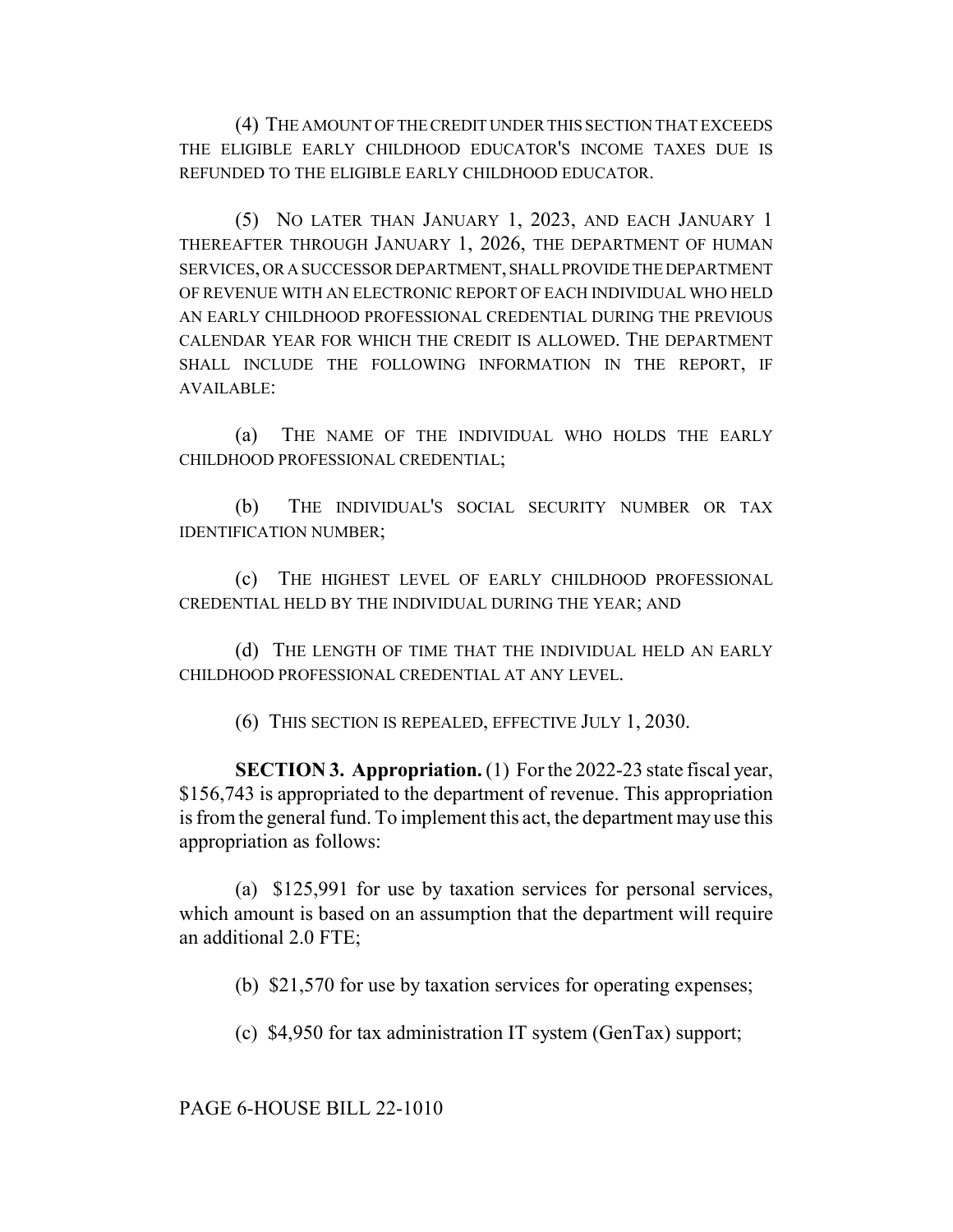(4) THE AMOUNT OF THE CREDIT UNDER THIS SECTION THAT EXCEEDS THE ELIGIBLE EARLY CHILDHOOD EDUCATOR'S INCOME TAXES DUE IS REFUNDED TO THE ELIGIBLE EARLY CHILDHOOD EDUCATOR.

(5) NO LATER THAN JANUARY 1, 2023, AND EACH JANUARY 1 THEREAFTER THROUGH JANUARY 1, 2026, THE DEPARTMENT OF HUMAN SERVICES, OR A SUCCESSOR DEPARTMENT, SHALL PROVIDE THE DEPARTMENT OF REVENUE WITH AN ELECTRONIC REPORT OF EACH INDIVIDUAL WHO HELD AN EARLY CHILDHOOD PROFESSIONAL CREDENTIAL DURING THE PREVIOUS CALENDAR YEAR FOR WHICH THE CREDIT IS ALLOWED. THE DEPARTMENT SHALL INCLUDE THE FOLLOWING INFORMATION IN THE REPORT, IF AVAILABLE:

(a) THE NAME OF THE INDIVIDUAL WHO HOLDS THE EARLY CHILDHOOD PROFESSIONAL CREDENTIAL;

(b) THE INDIVIDUAL'S SOCIAL SECURITY NUMBER OR TAX IDENTIFICATION NUMBER;

(c) THE HIGHEST LEVEL OF EARLY CHILDHOOD PROFESSIONAL CREDENTIAL HELD BY THE INDIVIDUAL DURING THE YEAR; AND

(d) THE LENGTH OF TIME THAT THE INDIVIDUAL HELD AN EARLY CHILDHOOD PROFESSIONAL CREDENTIAL AT ANY LEVEL.

(6) THIS SECTION IS REPEALED, EFFECTIVE JULY 1, 2030.

**SECTION 3. Appropriation.** (1) For the 2022-23 state fiscal year, \$156,743 is appropriated to the department of revenue. This appropriation is from the general fund. To implement this act, the department may use this appropriation as follows:

(a) \$125,991 for use by taxation services for personal services, which amount is based on an assumption that the department will require an additional 2.0 FTE;

(b) \$21,570 for use by taxation services for operating expenses;

(c) \$4,950 for tax administration IT system (GenTax) support;

PAGE 6-HOUSE BILL 22-1010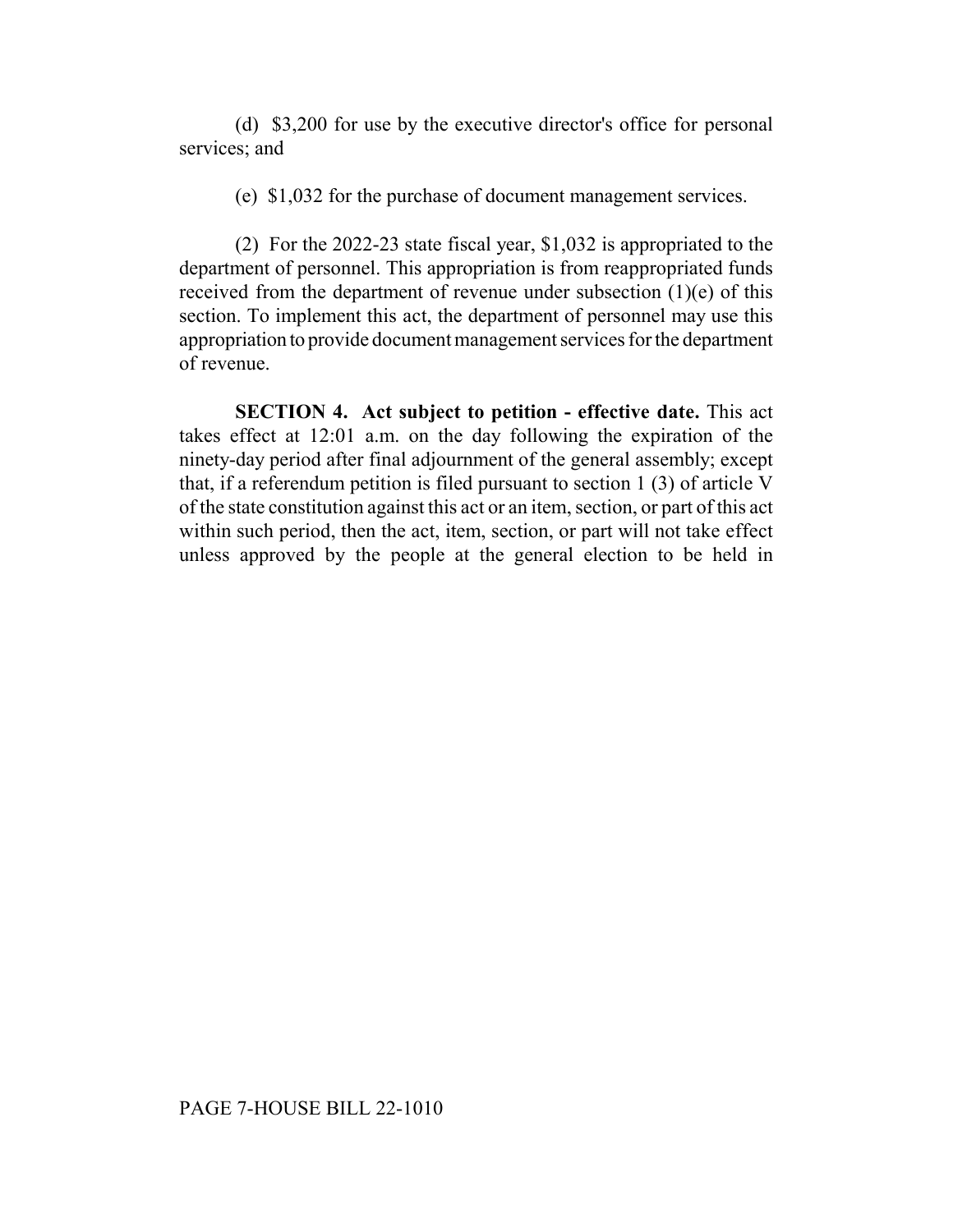(d) \$3,200 for use by the executive director's office for personal services; and

(e) \$1,032 for the purchase of document management services.

(2) For the 2022-23 state fiscal year, \$1,032 is appropriated to the department of personnel. This appropriation is from reappropriated funds received from the department of revenue under subsection  $(1)(e)$  of this section. To implement this act, the department of personnel may use this appropriation to provide document management services for the department of revenue.

**SECTION 4. Act subject to petition - effective date.** This act takes effect at 12:01 a.m. on the day following the expiration of the ninety-day period after final adjournment of the general assembly; except that, if a referendum petition is filed pursuant to section 1 (3) of article V of the state constitution against this act or an item, section, or part of this act within such period, then the act, item, section, or part will not take effect unless approved by the people at the general election to be held in